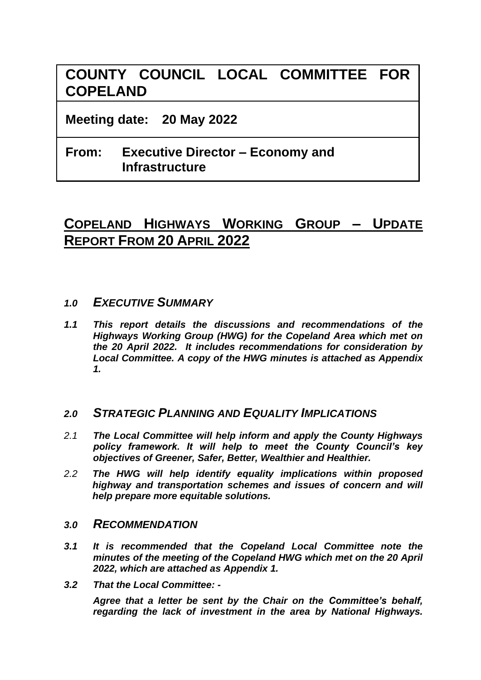# **COUNTY COUNCIL LOCAL COMMITTEE FOR COPELAND**

**Meeting date: 20 May 2022**

# **From: Executive Director – Economy and Infrastructure**

# **COPELAND HIGHWAYS WORKING GROUP – UPDATE REPORT FROM 20 APRIL 2022**

- *1.0 EXECUTIVE SUMMARY*
- *1.1 This report details the discussions and recommendations of the Highways Working Group (HWG) for the Copeland Area which met on the 20 April 2022. It includes recommendations for consideration by Local Committee. A copy of the HWG minutes is attached as Appendix 1.*

## *2.0 STRATEGIC PLANNING AND EQUALITY IMPLICATIONS*

- *2.1 The Local Committee will help inform and apply the County Highways policy framework. It will help to meet the County Council's key objectives of Greener, Safer, Better, Wealthier and Healthier.*
- *2.2 The HWG will help identify equality implications within proposed highway and transportation schemes and issues of concern and will help prepare more equitable solutions.*

### *3.0 RECOMMENDATION*

- *3.1 It is recommended that the Copeland Local Committee note the minutes of the meeting of the Copeland HWG which met on the 20 April 2022, which are attached as Appendix 1.*
- *3.2 That the Local Committee: -*

*Agree that a letter be sent by the Chair on the Committee's behalf, regarding the lack of investment in the area by National Highways.*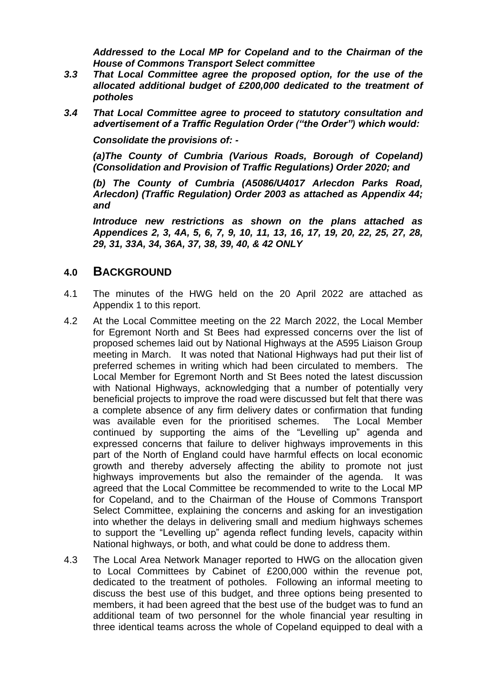*Addressed to the Local MP for Copeland and to the Chairman of the House of Commons Transport Select committee*

- *3.3 That Local Committee agree the proposed option, for the use of the allocated additional budget of £200,000 dedicated to the treatment of potholes*
- *3.4 That Local Committee agree to proceed to statutory consultation and advertisement of a Traffic Regulation Order ("the Order") which would:*

*Consolidate the provisions of: -*

*(a)The County of Cumbria (Various Roads, Borough of Copeland) (Consolidation and Provision of Traffic Regulations) Order 2020; and*

*(b) The County of Cumbria (A5086/U4017 Arlecdon Parks Road, Arlecdon) (Traffic Regulation) Order 2003 as attached as Appendix 44; and*

*Introduce new restrictions as shown on the plans attached as Appendices 2, 3, 4A, 5, 6, 7, 9, 10, 11, 13, 16, 17, 19, 20, 22, 25, 27, 28, 29, 31, 33A, 34, 36A, 37, 38, 39, 40, & 42 ONLY*

#### **4.0 BACKGROUND**

- 4.1 The minutes of the HWG held on the 20 April 2022 are attached as Appendix 1 to this report.
- 4.2 At the Local Committee meeting on the 22 March 2022, the Local Member for Egremont North and St Bees had expressed concerns over the list of proposed schemes laid out by National Highways at the A595 Liaison Group meeting in March. It was noted that National Highways had put their list of preferred schemes in writing which had been circulated to members. The Local Member for Egremont North and St Bees noted the latest discussion with National Highways, acknowledging that a number of potentially very beneficial projects to improve the road were discussed but felt that there was a complete absence of any firm delivery dates or confirmation that funding was available even for the prioritised schemes. The Local Member continued by supporting the aims of the "Levelling up" agenda and expressed concerns that failure to deliver highways improvements in this part of the North of England could have harmful effects on local economic growth and thereby adversely affecting the ability to promote not just highways improvements but also the remainder of the agenda. It was agreed that the Local Committee be recommended to write to the Local MP for Copeland, and to the Chairman of the House of Commons Transport Select Committee, explaining the concerns and asking for an investigation into whether the delays in delivering small and medium highways schemes to support the "Levelling up" agenda reflect funding levels, capacity within National highways, or both, and what could be done to address them.
- 4.3 The Local Area Network Manager reported to HWG on the allocation given to Local Committees by Cabinet of £200,000 within the revenue pot, dedicated to the treatment of potholes. Following an informal meeting to discuss the best use of this budget, and three options being presented to members, it had been agreed that the best use of the budget was to fund an additional team of two personnel for the whole financial year resulting in three identical teams across the whole of Copeland equipped to deal with a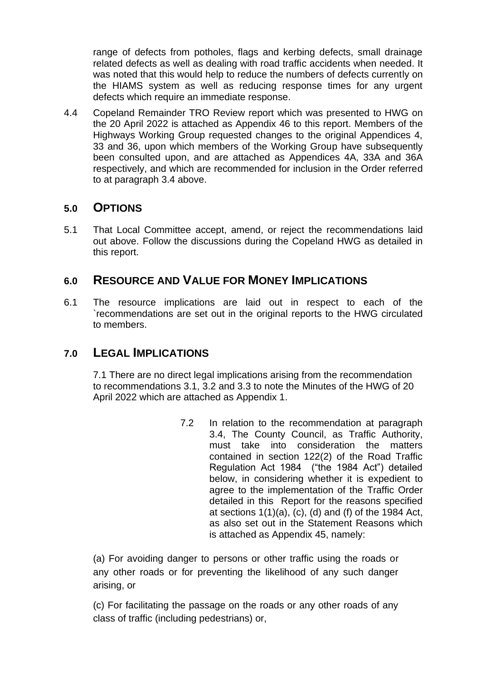range of defects from potholes, flags and kerbing defects, small drainage related defects as well as dealing with road traffic accidents when needed. It was noted that this would help to reduce the numbers of defects currently on the HIAMS system as well as reducing response times for any urgent defects which require an immediate response.

4.4 Copeland Remainder TRO Review report which was presented to HWG on the 20 April 2022 is attached as Appendix 46 to this report. Members of the Highways Working Group requested changes to the original Appendices 4, 33 and 36, upon which members of the Working Group have subsequently been consulted upon, and are attached as Appendices 4A, 33A and 36A respectively, and which are recommended for inclusion in the Order referred to at paragraph 3.4 above.

# **5.0 OPTIONS**

5.1 That Local Committee accept, amend, or reject the recommendations laid out above. Follow the discussions during the Copeland HWG as detailed in this report.

# **6.0 RESOURCE AND VALUE FOR MONEY IMPLICATIONS**

6.1 The resource implications are laid out in respect to each of the `recommendations are set out in the original reports to the HWG circulated to members.

# **7.0 LEGAL IMPLICATIONS**

7.1 There are no direct legal implications arising from the recommendation to recommendations 3.1, 3.2 and 3.3 to note the Minutes of the HWG of 20 April 2022 which are attached as Appendix 1.

> 7.2 In relation to the recommendation at paragraph 3.4, The County Council, as Traffic Authority, must take into consideration the matters contained in section 122(2) of the Road Traffic Regulation Act 1984 ("the 1984 Act") detailed below, in considering whether it is expedient to agree to the implementation of the Traffic Order detailed in this Report for the reasons specified at sections  $1(1)(a)$ ,  $(c)$ ,  $(d)$  and  $(f)$  of the 1984 Act, as also set out in the Statement Reasons which is attached as Appendix 45, namely:

(a) For avoiding danger to persons or other traffic using the roads or any other roads or for preventing the likelihood of any such danger arising, or

(c) For facilitating the passage on the roads or any other roads of any class of traffic (including pedestrians) or,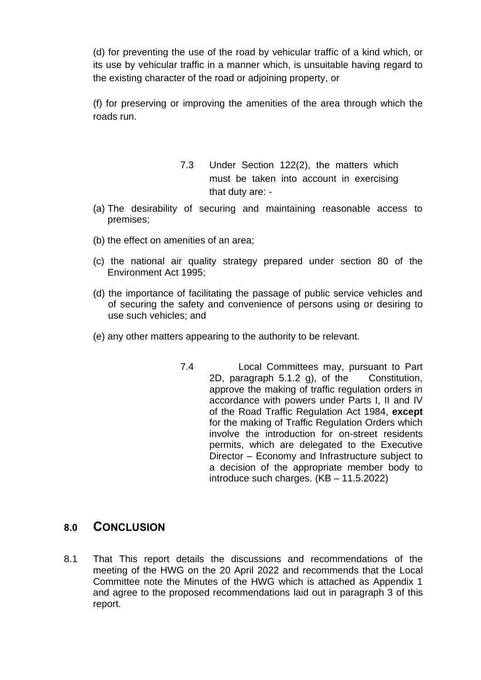(d) for preventing the use of the road by vehicular traffic of a kind which, or its use by vehicular traffic in a manner which, is unsuitable having regard to the existing character of the road or adjoining property, or

(f) for preserving or improving the amenities of the area through which the roads run.

- 7.3 Under Section 122(2), the matters which must be taken into account in exercising that duty are: -
- (a) The desirability of securing and maintaining reasonable access to premises;
- (b) the effect on amenities of an area;
- (c) the national air quality strategy prepared under section 80 of the Environment Act 1995;
- (d) the importance of facilitating the passage of public service vehicles and of securing the safety and convenience of persons using or desiring to use such vehicles; and
- (e) any other matters appearing to the authority to be relevant.
	- 7.4 Local Committees may, pursuant to Part 2D, paragraph 5.1.2 g), of the Constitution, approve the making of traffic regulation orders in accordance with powers under Parts I, II and IV of the Road Traffic Regulation Act 1984, **except**  for the making of Traffic Regulation Orders which involve the introduction for on-street residents permits, which are delegated to the Executive Director – Economy and Infrastructure subject to a decision of the appropriate member body to introduce such charges. (KB – 11.5.2022)

## **8.0 CONCLUSION**

8.1 That This report details the discussions and recommendations of the meeting of the HWG on the 20 April 2022 and recommends that the Local Committee note the Minutes of the HWG which is attached as Appendix 1 and agree to the proposed recommendations laid out in paragraph 3 of this report.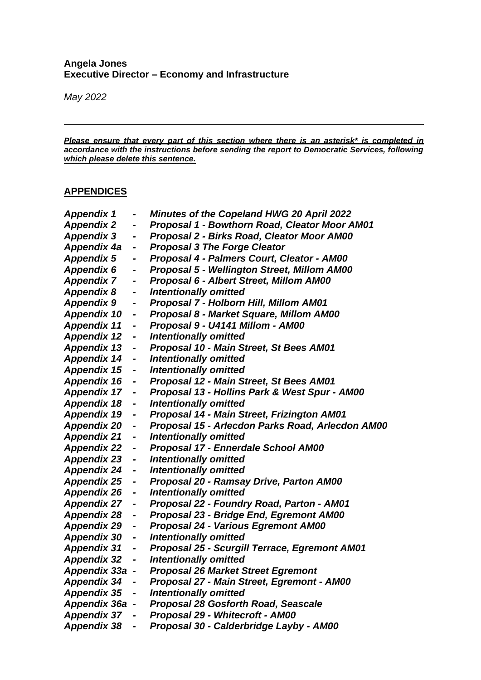#### **Angela Jones Executive Director – Economy and Infrastructure**

*May 2022*

*Please ensure that every part of this section where there is an asterisk\* is completed in accordance with the instructions before sending the report to Democratic Services, following which please delete this sentence.*

#### **APPENDICES**

| <b>Appendix 1</b>   | -                            | <b>Minutes of the Copeland HWG 20 April 2022</b>     |
|---------------------|------------------------------|------------------------------------------------------|
| <b>Appendix 2</b>   | -                            | Proposal 1 - Bowthorn Road, Cleator Moor AM01        |
| <b>Appendix 3</b>   | $\qquad \qquad \blacksquare$ | Proposal 2 - Birks Road, Cleator Moor AM00           |
| Appendix 4a         | $\qquad \qquad \blacksquare$ | <b>Proposal 3 The Forge Cleator</b>                  |
| <b>Appendix 5</b>   | -                            | Proposal 4 - Palmers Court, Cleator - AM00           |
| <b>Appendix 6</b>   | -                            | Proposal 5 - Wellington Street, Millom AM00          |
| <b>Appendix 7</b>   | -                            | <b>Proposal 6 - Albert Street, Millom AM00</b>       |
| <b>Appendix 8</b>   | -                            | <b>Intentionally omitted</b>                         |
| <b>Appendix 9</b>   | -                            | Proposal 7 - Holborn Hill, Millom AM01               |
| <b>Appendix 10</b>  | -                            | Proposal 8 - Market Square, Millom AM00              |
| <b>Appendix 11</b>  | -                            | Proposal 9 - U4141 Millom - AM00                     |
| <b>Appendix 12</b>  | -                            | <b>Intentionally omitted</b>                         |
| <b>Appendix 13</b>  | -                            | Proposal 10 - Main Street, St Bees AM01              |
| <b>Appendix 14</b>  | $\qquad \qquad \blacksquare$ | <b>Intentionally omitted</b>                         |
| <b>Appendix 15</b>  | -                            | <b>Intentionally omitted</b>                         |
| <b>Appendix 16</b>  | -                            | Proposal 12 - Main Street, St Bees AM01              |
| <b>Appendix 17</b>  |                              | Proposal 13 - Hollins Park & West Spur - AM00        |
| <b>Appendix 18</b>  | -                            | <b>Intentionally omitted</b>                         |
| <b>Appendix 19</b>  | -                            | Proposal 14 - Main Street, Frizington AM01           |
| <b>Appendix 20</b>  | -                            | Proposal 15 - Arlecdon Parks Road, Arlecdon AM00     |
| <b>Appendix 21</b>  | -                            | <b>Intentionally omitted</b>                         |
| <b>Appendix 22</b>  | -                            | Proposal 17 - Ennerdale School AM00                  |
| <b>Appendix 23</b>  | -                            | <b>Intentionally omitted</b>                         |
| <b>Appendix 24</b>  | -                            | <b>Intentionally omitted</b>                         |
| <b>Appendix 25</b>  | -                            | Proposal 20 - Ramsay Drive, Parton AM00              |
| <b>Appendix 26</b>  | -                            | <b>Intentionally omitted</b>                         |
| <b>Appendix 27</b>  | $\blacksquare$               | Proposal 22 - Foundry Road, Parton - AM01            |
| <b>Appendix 28</b>  | -                            | Proposal 23 - Bridge End, Egremont AM00              |
| <b>Appendix 29</b>  | -                            | <b>Proposal 24 - Various Egremont AM00</b>           |
| <b>Appendix 30</b>  | -                            | <b>Intentionally omitted</b>                         |
| <b>Appendix 31</b>  | $\qquad \qquad \blacksquare$ | <b>Proposal 25 - Scurgill Terrace, Egremont AM01</b> |
| <b>Appendix 32</b>  | -                            | <b>Intentionally omitted</b>                         |
| <b>Appendix 33a</b> |                              | <b>Proposal 26 Market Street Egremont</b>            |
| Appendix 34         |                              | Proposal 27 - Main Street, Egremont - AM00           |
| <b>Appendix 35</b>  | $\blacksquare$               | <b>Intentionally omitted</b>                         |
| Appendix 36a -      |                              | <b>Proposal 28 Gosforth Road, Seascale</b>           |
| <b>Appendix 37</b>  |                              | Proposal 29 - Whitecroft - AM00                      |
| <b>Appendix 38</b>  | -                            | Proposal 30 - Calderbridge Layby - AM00              |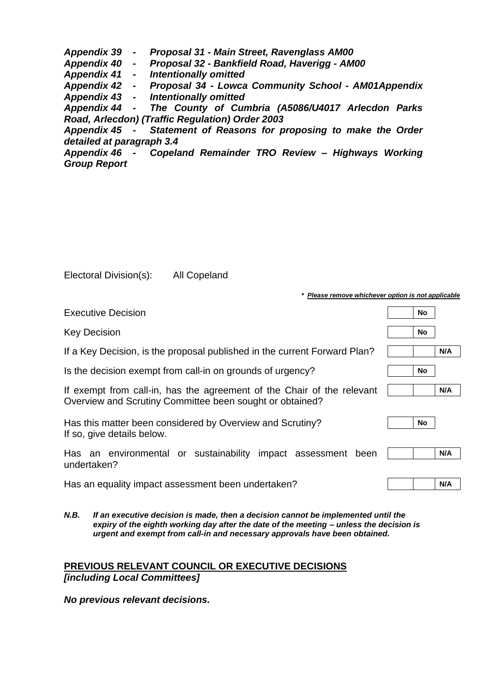*Appendix 39 - Proposal 31 - Main Street, Ravenglass AM00 Appendix 40 - Proposal 32 - Bankfield Road, Haverigg - AM00 Appendix 41 - Intentionally omitted Appendix 42 - Proposal 34 - Lowca Community School - AM01Appendix Appendix 43 - Intentionally omitted Appendix 44 - The County of Cumbria (A5086/U4017 Arlecdon Parks Road, Arlecdon) (Traffic Regulation) Order 2003 Appendix 45 - Statement of Reasons for proposing to make the Order detailed at paragraph 3.4 Appendix 46 - Copeland Remainder TRO Review – Highways Working Group Report*

| Electoral Division(s): | <b>All Copeland</b> |
|------------------------|---------------------|
|------------------------|---------------------|

| Please remove whichever option is not applicable                                                                                   |           |     |
|------------------------------------------------------------------------------------------------------------------------------------|-----------|-----|
| <b>Executive Decision</b>                                                                                                          | No.       |     |
| <b>Key Decision</b>                                                                                                                | No        |     |
| If a Key Decision, is the proposal published in the current Forward Plan?                                                          |           | N/A |
| Is the decision exempt from call-in on grounds of urgency?                                                                         | <b>No</b> |     |
| If exempt from call-in, has the agreement of the Chair of the relevant<br>Overview and Scrutiny Committee been sought or obtained? |           | N/A |
| Has this matter been considered by Overview and Scrutiny?<br>If so, give details below.                                            | No        |     |
| Has an environmental or sustainability impact assessment<br>been<br>undertaken?                                                    |           | N/A |
| Has an equality impact assessment been undertaken?                                                                                 |           | N/A |

*N.B. If an executive decision is made, then a decision cannot be implemented until the expiry of the eighth working day after the date of the meeting – unless the decision is urgent and exempt from call-in and necessary approvals have been obtained.*

#### **PREVIOUS RELEVANT COUNCIL OR EXECUTIVE DECISIONS** *[including Local Committees]*

*No previous relevant decisions.*